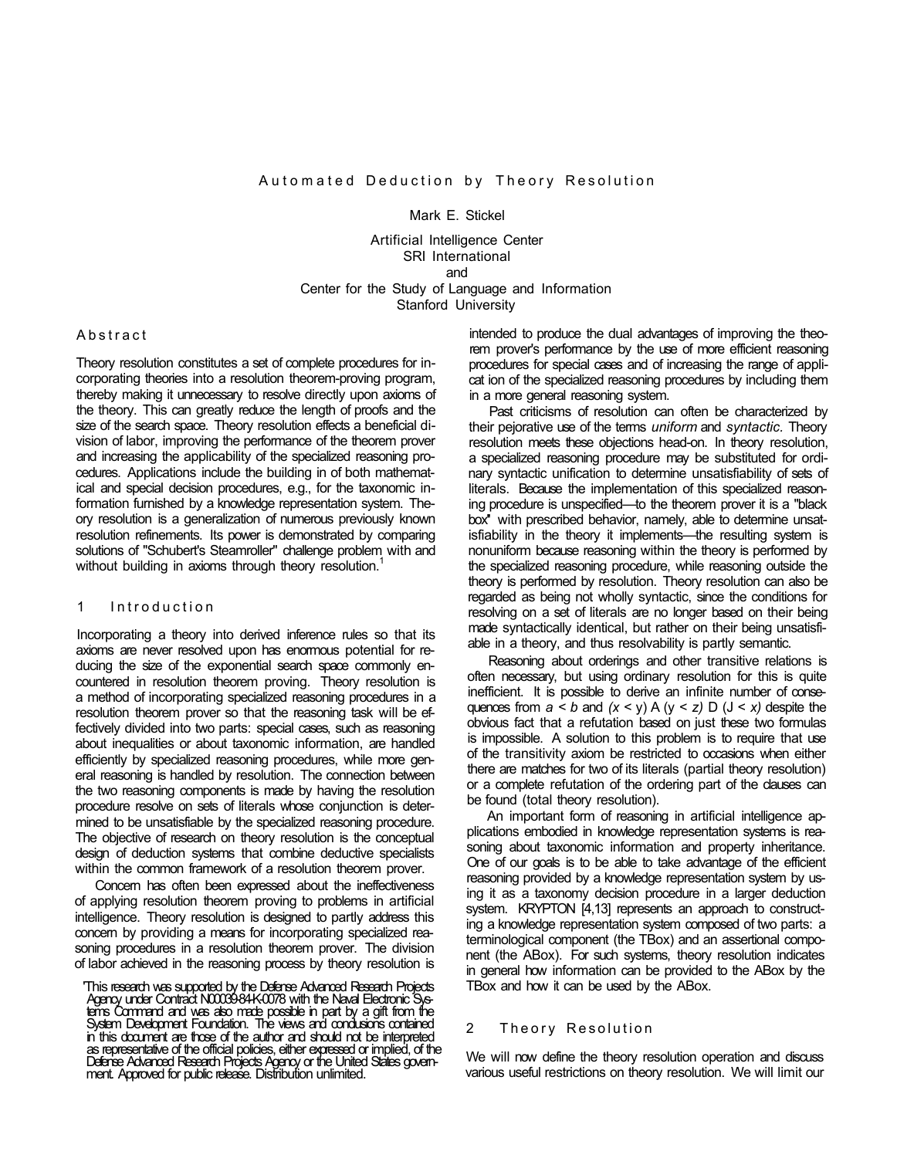Mark E. Stickel

Artificial Intelligence Center SRI International and Center for the Study of Language and Information Stanford University

### **Abstract**

Theory resolution constitutes a set of complete procedures for incorporating theories into a resolution theorem-proving program, thereby making it unnecessary to resolve directly upon axioms of the theory. This can greatly reduce the length of proofs and the size of the search space. Theory resolution effects a beneficial division of labor, improving the performance of the theorem prover and increasing the applicability of the specialized reasoning procedures. Applications include the building in of both mathematical and special decision procedures, e.g., for the taxonomic information furnished by a knowledge representation system. Theory resolution is a generalization of numerous previously known resolution refinements. Its power is demonstrated by comparing solutions of "Schubert's Steamroller" challenge problem with and without building in axioms through theory resolution.<sup>1</sup>

# 1 Introductio n

Incorporating a theory into derived inference rules so that its axioms are never resolved upon has enormous potential for reducing the size of the exponential search space commonly encountered in resolution theorem proving. Theory resolution is a method of incorporating specialized reasoning procedures in a resolution theorem prover so that the reasoning task will be effectively divided into two parts: special cases, such as reasoning about inequalities or about taxonomic information, are handled efficiently by specialized reasoning procedures, while more general reasoning is handled by resolution. The connection between the two reasoning components is made by having the resolution procedure resolve on sets of literals whose conjunction is determined to be unsatisfiable by the specialized reasoning procedure. The objective of research on theory resolution is the conceptual design of deduction systems that combine deductive specialists within the common framework of a resolution theorem prover.

Concern has often been expressed about the ineffectiveness of applying resolution theorem proving to problems in artificial intelligence. Theory resolution is designed to partly address this concern by providing a means for incorporating specialized reasoning procedures in a resolution theorem prover. The division of labor achieved in the reasoning process by theory resolution is

'This research was supported by the Defense Advanced Research Projects Agency under Contract N00039-84-K-0078 with the Naval Electronic Systems Command and was also made possible in part by a gift from the System Development Foundation. The views and condusions contained in this document are those of the author and should not be interpreted as representative of the official policies, either expressed or implied, of the Defense Advanced Research Projects Agency or the United States government. Approved for public release. Distribution unlimited.

intended to produce the dual advantages of improving the theorem prover's performance by the use of more efficient reasoning procedures for special cases and of increasing the range of applicat ion of the specialized reasoning procedures by including them in a more general reasoning system.

Past criticisms of resolution can often be characterized by their pejorative use of the terms *uniform* and *syntactic.* Theory resolution meets these objections head-on. In theory resolution, a specialized reasoning procedure may be substituted for ordinary syntactic unification to determine unsatisfiability of sets of literals. Because the implementation of this specialized reasoning procedure is unspecified—to the theorem prover it is a "black box'' with prescribed behavior, namely, able to determine unsatisfiability in the theory it implements—the resulting system is nonuniform because reasoning within the theory is performed by the specialized reasoning procedure, while reasoning outside the theory is performed by resolution. Theory resolution can also be regarded as being not wholly syntactic, since the conditions for resolving on a set of literals are no longer based on their being made syntactically identical, but rather on their being unsatisfiable in a theory, and thus resolvability is partly semantic.

Reasoning about orderings and other transitive relations is often necessary, but using ordinary resolution for this is quite inefficient. It is possible to derive an infinite number of consequences from  $a < b$  and  $(x < y)$  A  $(y < z)$  D  $(J < x)$  despite the obvious fact that a refutation based on just these two formulas is impossible. A solution to this problem is to require that use of the transitivity axiom be restricted to occasions when either there are matches for two of its literals (partial theory resolution) or a complete refutation of the ordering part of the clauses can be found (total theory resolution).

An important form of reasoning in artificial intelligence applications embodied in knowledge representation systems is reasoning about taxonomic information and property inheritance. One of our goals is to be able to take advantage of the efficient reasoning provided by a knowledge representation system by using it as a taxonomy decision procedure in a larger deduction system. KRYPTON [4,13] represents an approach to constructing a knowledge representation system composed of two parts: a terminological component (the TBox) and an assertional component (the ABox). For such systems, theory resolution indicates in general how information can be provided to the ABox by the TBox and how it can be used by the ABox.

# 2 Theory Resolution

We will now define the theory resolution operation and discuss various useful restrictions on theory resolution. We will limit our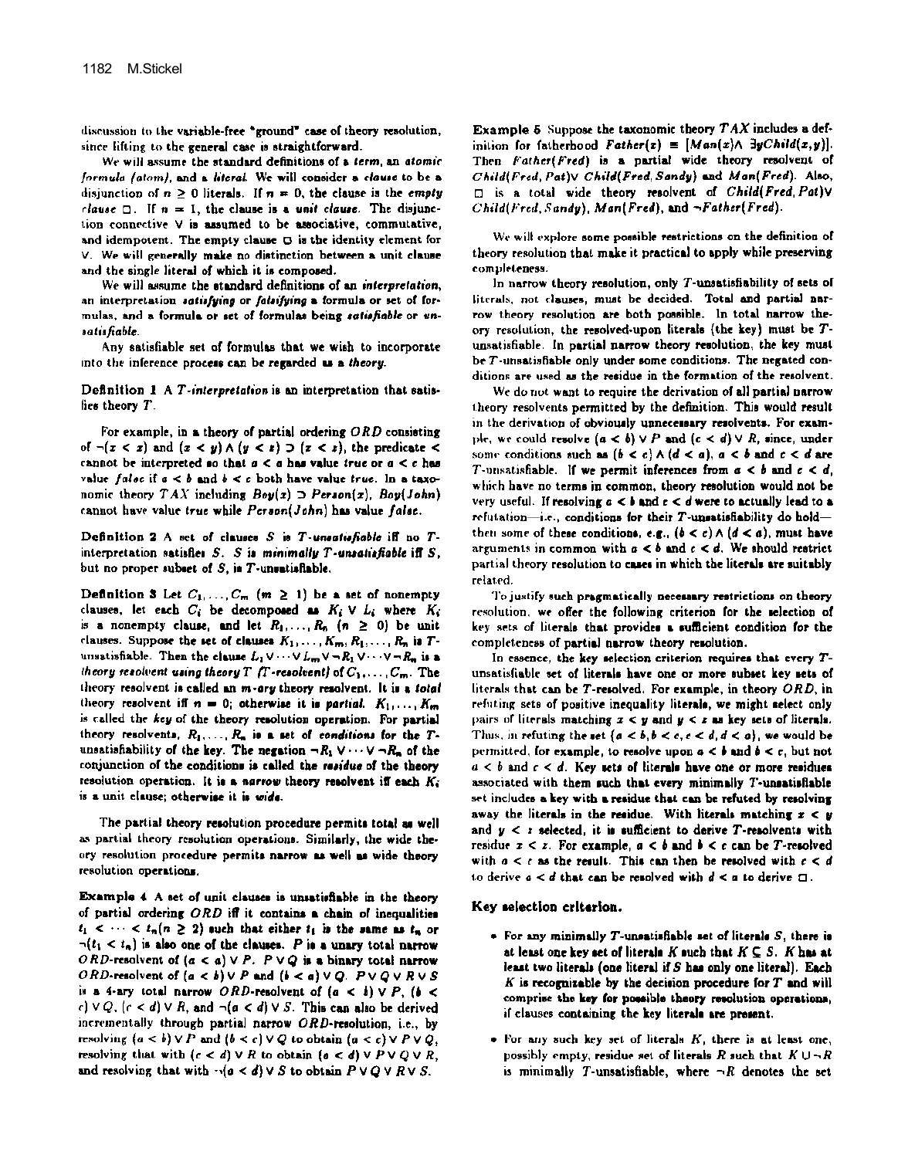discussion to the variable-free "ground" case of theory resolution, since lifting to the general case is straightforward.

We will assume the standard definitions of a term, an atomic formula (atom), and a literal. We will consider a clause to be a disjunction of  $n \ge 0$  literals. If  $n = 0$ , the clause is the empty clause  $\Box$ . If  $n = 1$ , the clause is a unit clause. The disjunction connective V is assumed to be associative, commutative, and idempotent. The empty clause  $\Box$  is the identity element for V. We will generally make no distinction between a unit clause and the single literal of which it is composed.

We will assume the standard definitions of an interpretation, an interpretation satisfying or falsifying a formula or set of formulas, and a formula or set of formulas being satisfiable or unsatisfiable.

Any satisfiable set of formulas that we wish to incorporate into the inference process can be regarded as a theory.

Definition 1 A T-interpretation is an interpretation that satisfies theory T.

For example, in a theory of partial ordering  $ORD$  consisting of  $\neg(x \leq x)$  and  $(x \leq y) \land (y \leq x) \supset (x \leq x)$ , the predicate  $\leq$ cannot be interpreted so that  $a < a$  has value true or  $a < c$  has value false if  $a < b$  and  $b < c$  both have value true. In a taxonomic theory  $TAX$  including  $Boy(x) \supset$  Person(x),  $Boy(John)$ cannot have value true while Person(John) has value false.

Definition 2 A set of clauses S is T-unsatisfiable iff no Tinterpretation satisfies  $S$ .  $S$  is minimally  $T$ -unsatisfiable iff  $S$ . but no proper subset of S, is T-unsatisfiable.

Definition 3 Let  $C_1, \ldots, C_m$   $(m \ge 1)$  be a set of nonempty clauses, let each  $C_i$  be decomposed as  $K_i \vee L_i$  where  $K_i$ is a nonempty clause, and let  $R_1, \ldots, R_n$   $(n \ge 0)$  be unit clauses. Suppose the set of clauses  $K_1, \ldots, K_m, R_1, \ldots, R_n$  is  $T$ unsatisfiable. Then the clause  $L_1 \vee \cdots \vee L_m \vee \neg R_1 \vee \cdots \vee \neg R_n$  is a theory resolvent using theory T (T-resolvent) of  $C_1, \ldots, C_m$ . The theory resolvent is called an m-ory theory resolvent. It is a total theory resolvent iff  $n = 0$ ; otherwise it is partial.  $K_1, \ldots, K_m$ is called the key of the theory resolution operation. For partial theory resolvents,  $R_1, \ldots, R_n$  is a set of conditions for the Tunsatisfiability of the key. The negation  $\neg R_1 \lor \cdots \lor \neg R_n$  of the conjunction of the conditions is called the residue of the theory resolution operation. It is a narrow theory resolvent iff each  $K_i$ is a unit clause; otherwise it is wide.

The partial theory resolution procedure permits total as well as partial theory resolution operations. Similarly, the wide theory resolution procedure permits narrow as well as wide theory resolution operations.

Example 4 A set of unit clauses is unsatisfiable in the theory of partial ordering ORD iff it contains a chain of inequalities  $t_1 < \cdots < t_n (n \geq 2)$  such that either  $t_1$  is the same as  $t_n$  or  $\neg(t_1 \leq t_n)$  is also one of the clauses. P is a unary total narrow ORD-resolvent of  $(a < a) \vee P$ .  $P \vee Q$  is a binary total narrow ORD-resolvent of  $(a < b) \vee P$  and  $(b < a) \vee Q$ .  $P \vee Q \vee R \vee S$ is a 4-ary total narrow ORD-resolvent of  $(a < b) \vee P$ ,  $(b <$ c)  $\vee Q$ ,  $(c < d) \vee R$ , and  $\neg(a < d) \vee S$ . This can also be derived incrementally through partial narrow ORD-resolution, i.e., by resolving  $(a < b) \vee P$  and  $(b < c) \vee Q$  to obtain  $(a < c) \vee P \vee Q$ . resolving that with  $(c < d) \vee R$  to obtain  $(a < d) \vee P \vee Q \vee R$ , and resolving that with  $\neg(a < d) \vee S$  to obtain  $P \vee Q \vee R \vee S$ .

Example 5. Suppose the taxonomic theory  $TAX$  includes a definition for fatherhood Father(x) =  $[Man(x) \wedge \exists y Child(x,y)].$ Then Father(Fred) is a partial wide theory resolvent of Child(Fred, Pat)V Child(Fred, Sandy) and Man(Fred). Also, I is a total wide theory resolvent of Child(Fred. Pativ Child(Fred, Sandy), Man(Fred), and ~Father(Fred).

We will explore some possible restrictions on the definition of theory resolution that make it practical to apply while preserving completeness.

In narrow theory resolution, only  $T$ -unsatisfiability of sets of literals, not clauses, must be decided. Total and partial narrow theory resolution are both possible. In total narrow theory resolution, the resolved-upon literals (the key) must be Tunsatisfiable. In partial narrow theory resolution, the key must be  $T$ -unsatisfiable only under some conditions. The negated conditions are used as the residue in the formation of the resolvent.

We do not want to require the derivation of all partial narrow theory resolvents permitted by the definition. This would result in the derivation of obviously unnecessary resolvents. For example, we could resolve  $(a < b) \vee P$  and  $(c < d) \vee R$ , since, under some conditions such as  $(b < c) \wedge (d < a)$ ,  $a < b$  and  $c < d$  are T-unsatisfiable. If we permit inferences from  $a < b$  and  $c < d$ , which have no terms in common, theory resolution would not be very useful. If resolving  $a < b$  and  $c < d$  were to actually lead to a refutation-i.e., conditions for their  $T$ -unsatisfiability do holdthen some of these conditions, e.g.,  $(b < c) \wedge (d < a)$ , must have arguments in common with  $a < b$  and  $c < d$ . We should restrict partial theory resolution to cases in which the literals are suitably related

To justify such pragmatically necessary restrictions on theory resolution, we offer the following criterion for the selection of key sets of literals that provides a sufficient condition for the completeness of partial narrow theory resolution.

In essence, the key selection criterion requires that every  $T$ unsatisfiable set of literals have one or more subset key sets of literals that can be T-resolved. For example, in theory ORD, in refuting sets of positive inequality literals, we might select only pairs of literals matching  $x < y$  and  $y < x$  as key sets of literals. Thus, in refuting the set  $\{a < b, b < c, c < d, d < a\}$ , we would be permitted, for example, to resolve upon  $a < b$  and  $b < c$ , but not  $a < b$  and  $c < d$ . Key sets of literals have one or more residues associated with them such that every minimally T-unsatisfiable set includes a key with a residue that can be refuted by resolving away the literals in the residue. With literals matching  $x < y$ and  $y < z$  selected, it is sufficient to derive T-resolvents with residue  $x \leq x$ . For example,  $a \leq b$  and  $b \leq c$  can be T-resolved with  $a < c$  as the result. This can then be resolved with  $c < d$ to derive  $a < d$  that can be resolved with  $d < a$  to derive  $\square$ .

### Key selection criterion.

- $\bullet$  For any minimally T-unsatisfiable set of literals  $S$ , there is at least one key set of literals K such that  $K \subseteq S$ . K has at least two literals (one literal if  $S$  has only one literal). Each  $K$  is recognizable by the decision procedure for  $T$  and will comprise the key for possible theory resolution operations, if clauses containing the key literals are present.
- For any such key set of literals K, there is at least one. possibly empty, residue set of literals R such that  $K \cup \neg R$ is minimally T-unsatisfiable, where  $\neg R$  denotes the set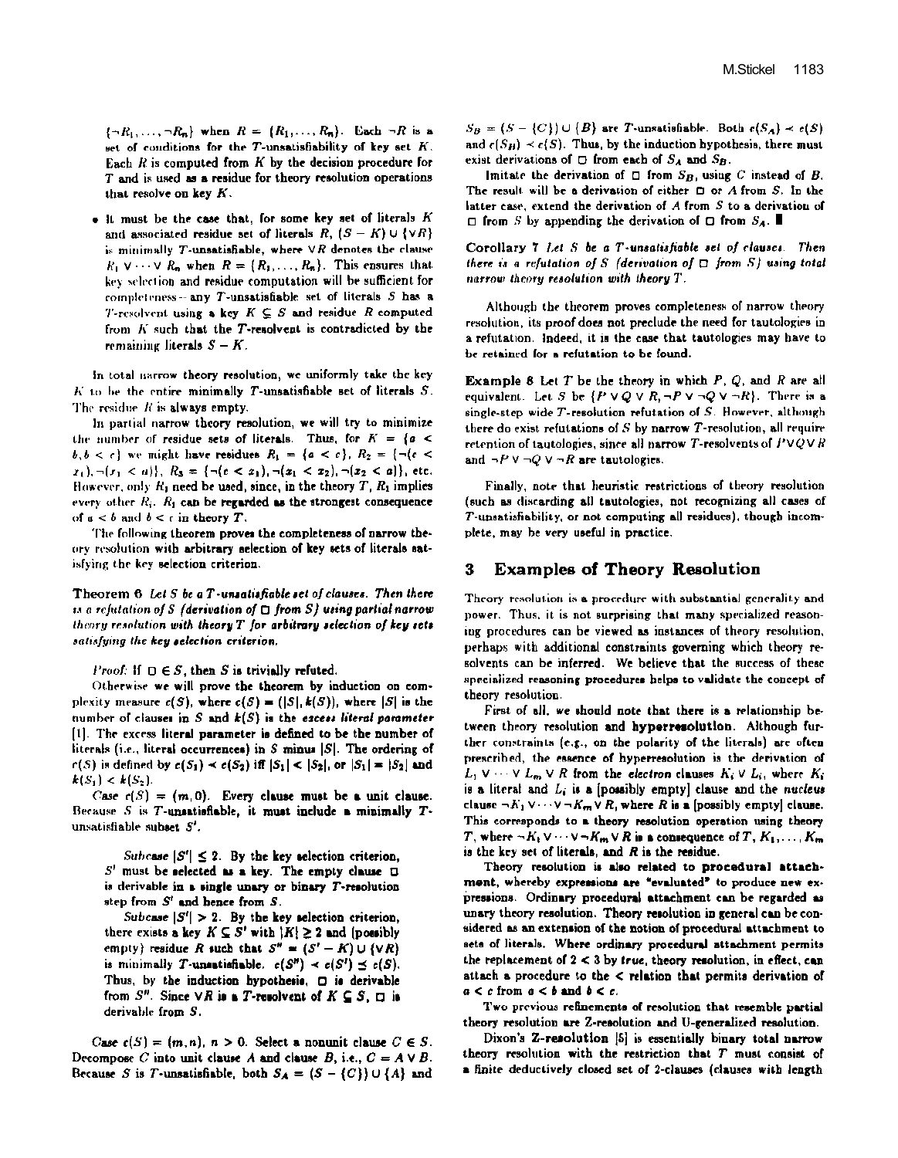$\{\neg R_1, \dots, \neg R_n\}$  when  $R = \{R_1, \dots, R_n\}$ . Each  $\neg R$  is a set of conditions for the  $T$ -unsatisfiability of key set  $K$ . Each  $R$  is computed from  $K$  by the decision procedure for T and is used as a residue for theory resolution operations that resolve on key  $K$ .

. It must be the case that, for some key set of literals K and associated residue set of literals R,  $(S - K) \cup \{ \forall R \}$ is minimally T-unsatisfiable, where  $\forall R$  denotes the clause  $R_1 \vee \cdots \vee R_n$  when  $R = \{R_1, \ldots, R_n\}$ . This ensures that key selection and residue computation will be sufficient for completeness-any  $T$ -unsatisfiable set of literals  $S$  has a *T*-resolvent using a key  $K \subseteq S$  and residue R computed from K such that the T-resolvent is contradicted by the remaining literals  $S - K$ .

in total narrow theory resolution, we uniformly take the key  $K$  to be the entire minimally T-unsatisfiable set of literals  $S$ . The residue  $R$  is always empty.

In partial narrow theory resolution, we will try to minimize the number of residue sets of literals. Thus, for  $K = \{a \leq$  $b, b < c$  we might have residues  $R_1 = \{a < c\}, R_2 = \{\neg (c < b)\}\$  $x_1$ ,  $\neg(x_1 < a)$ ,  $R_3 = \{\neg(x < x_1), \neg(x_1 < x_2), \neg(x_2 < a)\}\$ , etc. However, only  $R_1$  need be used, since, in the theory  $T$ ,  $R_1$  implies every other  $R_i$ .  $R_1$  can be regarded as the strongest consequence of  $a < b$  and  $b < c$  in theory T.

The following theorem proves the completeness of narrow theory resolution with arbitrary selection of key sets of literals satisfying the key selection criterion.

Theorem  $6$  Let S be a T-unsatisfiable set of clauses. Then there is a refutation of S (derivation of  $\Box$  from S) using partial narrow theory resolution with theory T for arbitrary selection of key sets satisfying the key selection criterion.

*Proof:* If  $\Box \in S$ , then S is trivially refuted.

Otherwise we will prove the theorem by induction on complexity measure  $c(S)$ , where  $c(S) = (|S|, k(S))$ , where  $|S|$  is the number of clauses in  $S$  and  $k(S)$  is the excess literal parameter [1]. The excess literal parameter is defined to be the number of literals (i.e., literal occurrences) in  $S$  minus  $|S|$ . The ordering of  $r(S)$  is defined by  $c(S_1) \prec c(S_2)$  iff  $|S_1| < |S_2|$ , or  $|S_1| = |S_2|$  and  $k(S_1) < k(S_2)$ .

Case  $c(S) = (m, 0)$ . Every clause must be a unit clause. Because  $S$  is T-unsatisfiable, it must include a minimally  $T$ unsatisfiable subset S'.

Subcase  $|S'| \leq 2$ . By the key selection criterion,  $S<sup>t</sup>$  must be selected as a key. The empty clause  $\Box$ is derivable in a single unary or binary T-resolution step from  $S'$  and hence from  $S$ .

Subcase  $|S'| > 2$ . By the key selection criterion, there exists a key  $K \subseteq S'$  with  $|K| \geq 2$  and (possibly empty) residue R such that  $S'' = (S' - K) \cup \{ \forall R \}$ is minimally T-unsatisfiable.  $c(S'') \prec c(S') \preceq c(S)$ . Thus, by the induction hypothesis, O is derivable from  $S^n$ . Since  $\forall R$  is a T-resolvent of  $K \subseteq S$ ,  $\Box$  is derivable from S.

Case  $c(S) = (m, n)$ ,  $n > 0$ . Select a nonunit clause  $C \in S$ . Decompose C into unit clause A and clause B, i.e.,  $C = A \vee B$ . Because S is T-unsatisfiable, both  $S_A = (S - {C}) \cup {A}$  and  $S_B = (S - {C}) \cup {B}$  are T-unsatisfiable. Both  $c(S_A) \prec c(S)$ and  $\epsilon(S_H) \prec \epsilon(S)$ . Thus, by the induction hypothesis, there must exist derivations of  $\Box$  from each of  $S_A$  and  $S_B$ .

Imitate the derivation of  $\Box$  from  $S_B$ , using C instead of B. The result will be a derivation of either  $\Box$  or  $A$  from  $S$ . In the latter case, extend the derivation of  $A$  from  $S$  to a derivation of  $\Box$  from S by appending the derivation of  $\Box$  from  $S_A$ .

Corollary  $7$  Let  $S$  be a T-unsatisfiable set of clauses. Then there is a refutation of S (derivation of  $\Box$  from S) using total narrow theory resolution with theory T.

Although the theorem proves completeness of narrow theory resolution, its proof does not preclude the need for tautologies in a refutation. Indeed, it is the case that tautologies may have to be retained for a refutation to be found.

**Example 8** Let  $T$  be the theory in which  $P$ ,  $Q$ , and  $R$  are all equivalent. Let S be  $\{P \lor Q \lor R, \neg P \lor \neg Q \lor \neg R\}$ . There is a single-step wide  $T$ -resolution refutation of  $S$ . However, although there do exist refutations of  $S$  by narrow  $T$ -resolution, all require retention of tautologies, since all narrow T-resolvents of  $P \vee Q \vee R$ and  $\neg P \lor \neg Q \lor \neg R$  are tautologies.

Finally, note that heuristic restrictions of theory resolution (such as discarding all tautologies, not recognizing all cases of T-unsatisfiability, or not computing all residues), though incomplete, may be very useful in practice.

#### **Examples of Theory Resolution** 3

Theory resolution is a procedure with substantial generality and power. Thus, it is not surprising that many specialized reasoning procedures can be viewed as instances of theory resolution, perhaps with additional constraints governing which theory resolvents can be inferred. We believe that the success of these specialized reasoning procedures helps to validate the concept of theory resolution.

First of all, we should note that there is a relationship between theory resolution and hyperresolution. Although further constraints (e.g., on the polarity of the literals) are often prescribed, the essence of hyperresolution is the derivation of  $L_1 \vee \cdots \vee L_m \vee R$  from the electron clauses  $K_i \vee L_i$ , where  $K_i$ is a literal and  $L_i$  is a [possibly empty] clause and the nucleus clause  $\neg K_1 \vee \cdots \vee \neg K_m \vee R$ , where R is a (possibly empty) clause. This corresponds to a theory resolution operation using theory T, where  $\neg K_1 \vee \cdots \vee \neg K_m \vee R$  is a consequence of T,  $K_1, \ldots, K_m$ is the key set of literals, and  $R$  is the residue.

Theory resolution is also related to procedural attachment, whereby expressions are "evaluated" to produce new expressions. Ordinary procedural attachment can be regarded as unary theory resolution. Theory resolution in general can be considered as an extension of the notion of procedural attachment to sets of literals. Where ordinary procedural attachment permits the replacement of  $2 < 3$  by true, theory resolution, in effect, can attach a procedure to the < relation that permits derivation of  $a < c$  from  $a < b$  and  $b < c$ .

Two previous refinements of resolution that resemble partial theory resolution are Z-resolution and U-generalized resolution.

Dixon's Z-resolution [5] is essentially binary total narrow theory resolution with the restriction that  $T$  must consist of a finite deductively closed set of 2-clauses (clauses with length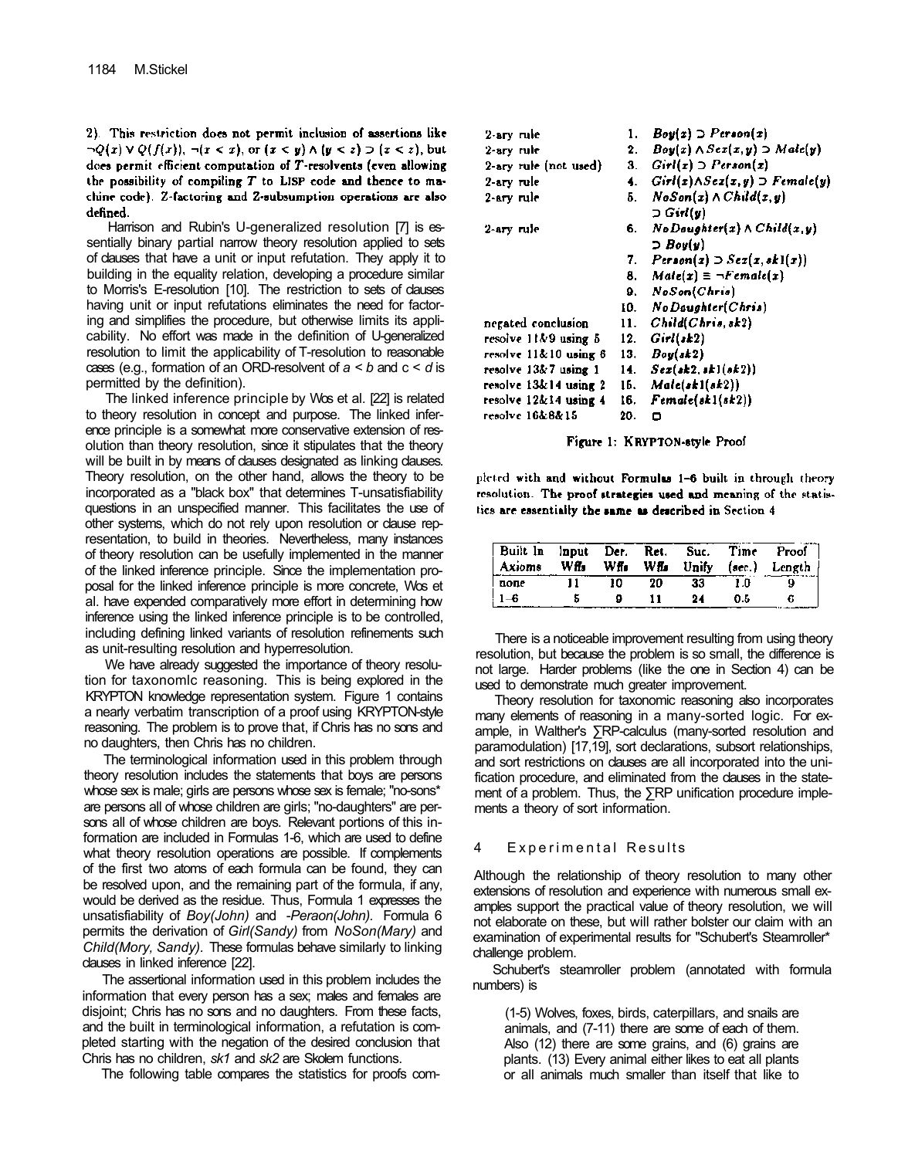2). This restriction does not permit inclusion of assertions like  $\neg Q(x) \vee Q(f(x)), \neg (x < x), \text{ or } (x < y) \wedge (y < z) \supset (x < z), \text{ but}$ does permit efficient computation of T-resolvents (even allowing the possibility of compiling  $T$  to LISP code and thence to machine code). Z-factoring and Z-subsumption operations are also defined.

Harrison and Rubin's U-generalized resolution [7] is essentially binary partial narrow theory resolution applied to sets of clauses that have a unit or input refutation. They apply it to building in the equality relation, developing a procedure similar to Morris's E-resolution [10]. The restriction to sets of clauses having unit or input refutations eliminates the need for factoring and simplifies the procedure, but otherwise limits its applicability. No effort was made in the definition of U-generalized resolution to limit the applicability of T-resolution to reasonable cases (e.g., formation of an ORD-resolvent of *a < b* and c < *d* is permitted by the definition).

The linked inference principle by Wos et al. [22] is related to theory resolution in concept and purpose. The linked inference principle is a somewhat more conservative extension of resolution than theory resolution, since it stipulates that the theory will be built in by means of dauses designated as linking dauses. Theory resolution, on the other hand, allows the theory to be incorporated as a "black box" that determines T-unsatisfiability questions in an unspecified manner. This facilitates the use of other systems, which do not rely upon resolution or clause representation, to build in theories. Nevertheless, many instances of theory resolution can be usefully implemented in the manner of the linked inference principle. Since the implementation proposal for the linked inference principle is more concrete, Wos et al. have expended comparatively more effort in determining how inference using the linked inference principle is to be controlled, including defining linked variants of resolution refinements such as unit-resulting resolution and hyperresolution.

We have already suggested the importance of theory resolution for taxonomlc reasoning. This is being explored in the KRYPTON knowledge representation system. Figure 1 contains a nearly verbatim transcription of a proof using KRYPTON-style reasoning. The problem is to prove that, if Chris has no sons and no daughters, then Chris has no children.

The terminological information used in this problem through theory resolution includes the statements that boys are persons whose sex is male; girls are persons whose sex is female; "no-sons\* are persons all of whose children are girls; "no-daughters" are persons all of whose children are boys. Relevant portions of this information are included in Formulas 1-6, which are used to define what theory resolution operations are possible. If complements of the first two atoms of each formula can be found, they can be resolved upon, and the remaining part of the formula, if any, would be derived as the residue. Thus, Formula 1 expresses the unsatisfiability of *Boy(John)* and -*Peraon(John).* Formula 6 permits the derivation of *Girl(Sandy)* from *NoSon(Mary)* and *Child(Mory, Sandy).* These formulas behave similarly to linking clauses in linked inference [22].

The assertional information used in this problem includes the information that every person has a sex; males and females are disjoint; Chris has no sons and no daughters. From these facts, and the built in terminological information, a refutation is completed starting with the negation of the desired conclusion that Chris has no children, *sk1* and *sk2* are Skolem functions.

The following table compares the statistics for proofs com-

| 2-ary rule            | 1.  | $Boy(x) \supset P$ crson(x)                     |
|-----------------------|-----|-------------------------------------------------|
| 2-ary rule            | 2.  | $Boy(x) \wedge Sex(x, y) \supset Male(y)$       |
| 2-ary rule (not used) | 3.  | $Girl(x) \supset Person(x)$                     |
| 2-ary rule            | 4.  | $Girl(x) \wedge Scz(x,y) \supset$ Female(y)     |
| 2-ary rule            | 5.  | $NoSon(x) \wedge Child(x, y)$                   |
|                       |     | つ Girl(y)                                       |
| 2-ary rule            | 6.  | $No$ Daughter(x) $\land$ Child(x,y)             |
|                       |     | $\supset$ Boy(y)                                |
|                       | 7.  | $Person(x) \supset \text{Sex}(x, sk1(x))$       |
|                       | 8.  | $Male(x) = \neg Female(x)$                      |
|                       | 9.  | NoSon(Chris)                                    |
|                       |     | 10. NoDaughter(Chris)                           |
| negated conclusion    | 11. | Child(Chris, sk2)                               |
| resolve 11&9 using 5  | 12. | $Grid(\,sk2)$                                   |
| resolve 11&10 using 8 | 13. | Boy(sk2)                                        |
| resolve 13&7 using 1  | 14. | $Sex(\textit{sk2}, \textit{sk1}(\textit{sk2}))$ |
| resolve 13&14 using 2 | 16. | Male(st1(st2))                                  |
| resolve 12&14 using 4 | 16. | Female(st1(st2))                                |
| resolve 16&8&15       | 20. | Ω                                               |
|                       |     |                                                 |

Figure 1: KRYPTON-style Proof

pleted with and without Formulas 1-6 built in through theory resolution. The proof strategies used and meaning of the statistics are essentially the same as described in Section 4

| Built In Input Der.<br><b>Axioms</b> | Wffa | Wff. | Ret. | Suc. | Time | Proof<br>Wils Unify (sec.) Length |
|--------------------------------------|------|------|------|------|------|-----------------------------------|
| none                                 |      | 10   | 20   | 33   | 1.0  |                                   |
|                                      |      |      |      | 94   | 0.5  |                                   |

There is a noticeable improvement resulting from using theory resolution, but because the problem is so small, the difference is not large. Harder problems (like the one in Section 4) can be used to demonstrate much greater improvement.

Theory resolution for taxonomic reasoning also incorporates many elements of reasoning in a many-sorted logic. For example, in Walther's ∑RP-calculus (many-sorted resolution and paramodulation) [17,19], sort declarations, subsort relationships, and sort restrictions on clauses are all incorporated into the unification procedure, and eliminated from the clauses in the statement of a problem. Thus, the ∑RP unification procedure implements a theory of sort information.

# 4 Experimental Results

Although the relationship of theory resolution to many other extensions of resolution and experience with numerous small examples support the practical value of theory resolution, we will not elaborate on these, but will rather bolster our claim with an examination of experimental results for "Schubert's Steamroller\* challenge problem.

Schubert's steamroller problem (annotated with formula numbers) is

(1-5) Wolves, foxes, birds, caterpillars, and snails are animals, and (7-11) there are some of each of them. Also (12) there are some grains, and (6) grains are plants. (13) Every animal either likes to eat all plants or all animals much smaller than itself that like to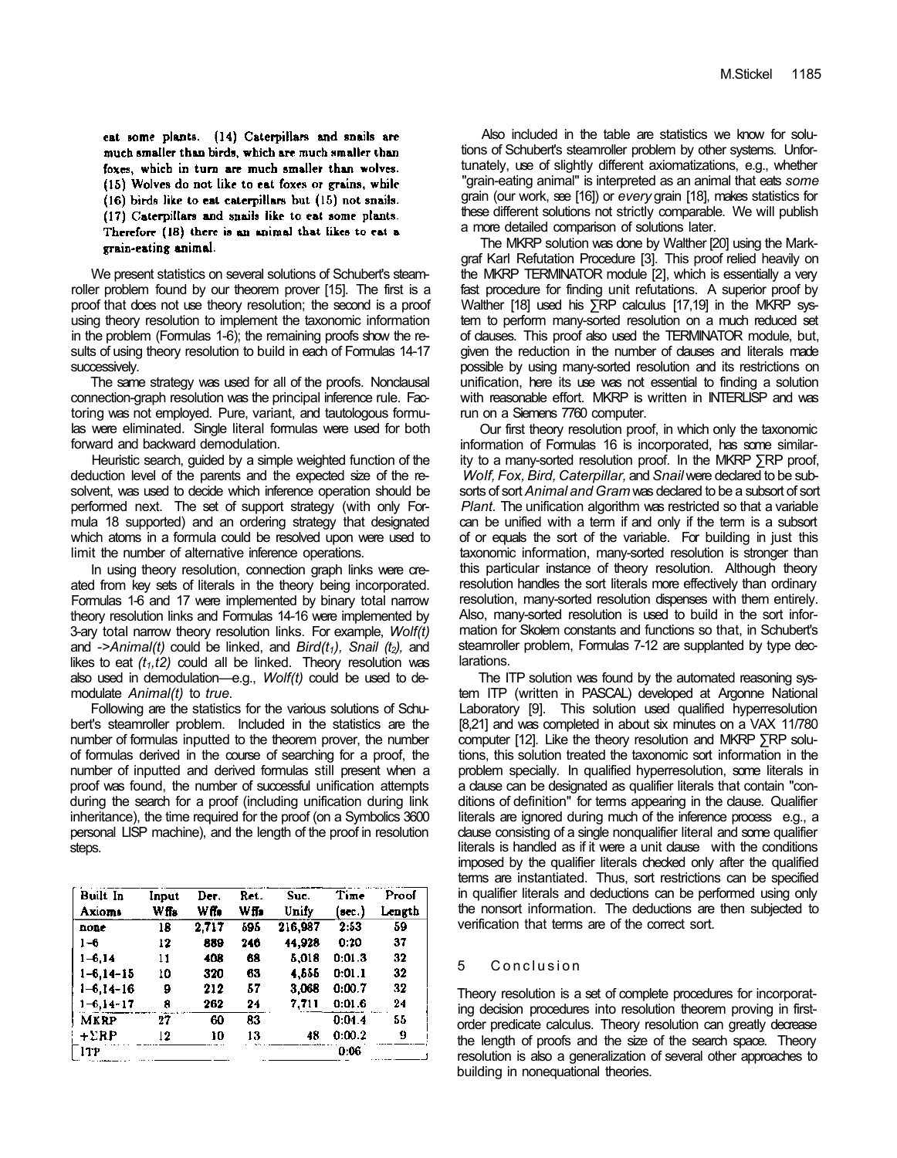eat some plants. (14) Caterpillars and snails are much smaller than birds, which are much smaller than foxes, which in turn are much smaller than wolves. (15) Wolves do not like to eat foxes or grains, while (16) birds like to eat caterpillars but (15) not snails. (17) Caterpillars and snails like to eat some plants. Therefore (18) there is an animal that likes to eat a grain-eating animal.

We present statistics on several solutions of Schubert's steamroller problem found by our theorem prover [15]. The first is a proof that does not use theory resolution; the second is a proof using theory resolution to implement the taxonomic information in the problem (Formulas 1-6); the remaining proofs show the results of using theory resolution to build in each of Formulas 14-17 successively.

The same strategy was used for all of the proofs. Nonclausal connection-graph resolution was the principal inference rule. Factoring was not employed. Pure, variant, and tautologous formulas were eliminated. Single literal formulas were used for both forward and backward demodulation.

Heuristic search, guided by a simple weighted function of the deduction level of the parents and the expected size of the resolvent, was used to decide which inference operation should be performed next. The set of support strategy (with only Formula 18 supported) and an ordering strategy that designated which atoms in a formula could be resolved upon were used to limit the number of alternative inference operations.

In using theory resolution, connection graph links were created from key sets of literals in the theory being incorporated. Formulas 1-6 and 17 were implemented by binary total narrow theory resolution links and Formulas 14-16 were implemented by 3-ary total narrow theory resolution links. For example, *Wolf(t)*  and *->Animal(t)* could be linked, and *Bird(t1), Snail (t2),* and likes to eat *(t1,t2)* could all be linked. Theory resolution was also used in demodulation—e.g., *Wolf(t)* could be used to demodulate *Animal(t)* to *true.* 

Following are the statistics for the various solutions of Schubert's steamroller problem. Included in the statistics are the number of formulas inputted to the theorem prover, the number of formulas derived in the course of searching for a proof, the number of inputted and derived formulas still present when a proof was found, the number of successful unification attempts during the search for a proof (including unification during link inheritance), the time required for the proof (on a Symbolics 3600 personal LISP machine), and the length of the proof in resolution steps.

| <b>Built In</b>  | Input | Der.  | Ret. | Suc.    | Time   | Proof  |
|------------------|-------|-------|------|---------|--------|--------|
| Axioms           | W ffa | wñ.   | wf.  | Unify   | (sec.) | Length |
| none             | 18    | 2.717 | 595  | 216,987 | 2:53   | 59     |
| 1-6              | 12    | 889   | 246  | 44,928  | 0:20   | 37     |
| $1 - 6.14$       | 11    | 408   | 68   | 5.018   | 0:01.3 | 32     |
| $1 - 6, 14 - 15$ | 10    | 320   | 63   | 4,555   | 0:01.1 | 32     |
| $1 - 6, 14 - 16$ | 9     | 212   | 57   | 3.068   | 0:00.7 | 32     |
| $1 - 6, 14 - 17$ | 8     | 262   | 24   | 7,711   | 0:01.6 | 24     |
| MKRP             | 27    | 60    | 83   |         | 0:04.4 | 55     |
| $+ \Sigma$ RP    | 12    | 10    | 13   | 48      | 0:00.2 | 9      |
| 11P              |       |       |      |         | 0:06   |        |

Also included in the table are statistics we know for solutions of Schubert's steamroller problem by other systems. Unfortunately, use of slightly different axiomatizations, e.g., whether "grain-eating animal" is interpreted as an animal that eats *some*  grain (our work, see [16]) or *every* grain [18], makes statistics for these different solutions not strictly comparable. We will publish a more detailed comparison of solutions later.

The MKRP solution was done by Walther [20] using the Markgraf Karl Refutation Procedure [3]. This proof relied heavily on the MKRP TERMINATOR module [2], which is essentially a very fast procedure for finding unit refutations. A superior proof by Walther [18] used his ∑RP calculus [17,19] in the MKRP system to perform many-sorted resolution on a much reduced set of clauses. This proof also used the TERMINATOR module, but, given the reduction in the number of clauses and literals made possible by using many-sorted resolution and its restrictions on unification, here its use was not essential to finding a solution with reasonable effort. MKRP is written in INTERLISP and was run on a Siemens 7760 computer.

Our first theory resolution proof, in which only the taxonomic information of Formulas 16 is incorporated, has some similarity to a many-sorted resolution proof. In the MKRP ∑RP proof, *WoIf, Fox, Bird, Caterpillar,* and *Snail* were declared to be subsorts of sort *Animal and Gram* was declared to be a subsort of sort *Plant.* The unification algorithm was restricted so that a variable can be unified with a term if and only if the term is a subsort of or equals the sort of the variable. For building in just this taxonomic information, many-sorted resolution is stronger than this particular instance of theory resolution. Although theory resolution handles the sort literals more effectively than ordinary resolution, many-sorted resolution dispenses with them entirely. Also, many-sorted resolution is used to build in the sort information for Skolem constants and functions so that, in Schubert's steamroller problem, Formulas 7-12 are supplanted by type declarations.

The ITP solution was found by the automated reasoning system ITP (written in PASCAL) developed at Argonne National Laboratory [9]. This solution used qualified hyperresolution [8,21] and was completed in about six minutes on a VAX 11/780 computer [12]. Like the theory resolution and MKRP ∑RP solutions, this solution treated the taxonomic sort information in the problem specially. In qualified hyperresolution, some literals in a clause can be designated as qualifier literals that contain "conditions of definition" for terms appearing in the clause. Qualifier literals are ignored during much of the inference process e.g., a clause consisting of a single nonqualifier literal and some qualifier literals is handled as if it were a unit clause with the conditions imposed by the qualifier literals checked only after the qualified terms are instantiated. Thus, sort restrictions can be specified in qualifier literals and deductions can be performed using only the nonsort information. The deductions are then subjected to verification that terms are of the correct sort.

# 5 Conclusion

Theory resolution is a set of complete procedures for incorporating decision procedures into resolution theorem proving in firstorder predicate calculus. Theory resolution can greatly decrease the length of proofs and the size of the search space. Theory resolution is also a generalization of several other approaches to building in nonequational theories.